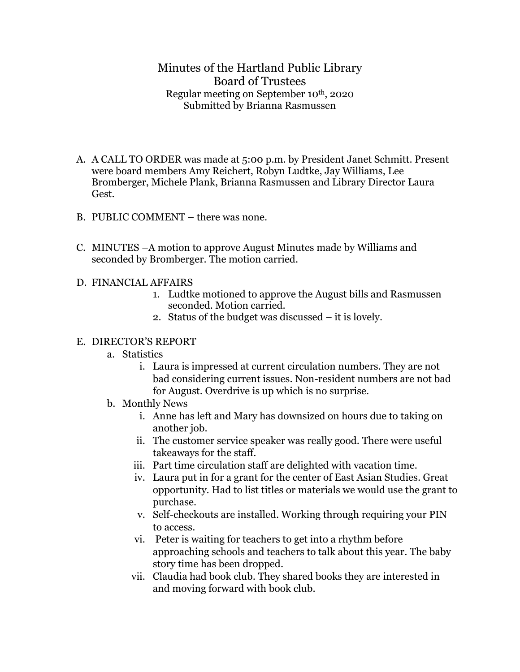## Minutes of the Hartland Public Library Board of Trustees Regular meeting on September 10th, 2020 Submitted by Brianna Rasmussen

- A. A CALL TO ORDER was made at 5:00 p.m. by President Janet Schmitt. Present were board members Amy Reichert, Robyn Ludtke, Jay Williams, Lee Bromberger, Michele Plank, Brianna Rasmussen and Library Director Laura Gest.
- B. PUBLIC COMMENT there was none.
- C. MINUTES –A motion to approve August Minutes made by Williams and seconded by Bromberger. The motion carried.
- D. FINANCIAL AFFAIRS
	- 1. Ludtke motioned to approve the August bills and Rasmussen seconded. Motion carried.
	- 2. Status of the budget was discussed it is lovely.

## E. DIRECTOR'S REPORT

- a. Statistics
	- i. Laura is impressed at current circulation numbers. They are not bad considering current issues. Non-resident numbers are not bad for August. Overdrive is up which is no surprise.
- b. Monthly News
	- i. Anne has left and Mary has downsized on hours due to taking on another job.
	- ii. The customer service speaker was really good. There were useful takeaways for the staff.
	- iii. Part time circulation staff are delighted with vacation time.
	- iv. Laura put in for a grant for the center of East Asian Studies. Great opportunity. Had to list titles or materials we would use the grant to purchase.
	- v. Self-checkouts are installed. Working through requiring your PIN to access.
	- vi. Peter is waiting for teachers to get into a rhythm before approaching schools and teachers to talk about this year. The baby story time has been dropped.
	- vii. Claudia had book club. They shared books they are interested in and moving forward with book club.